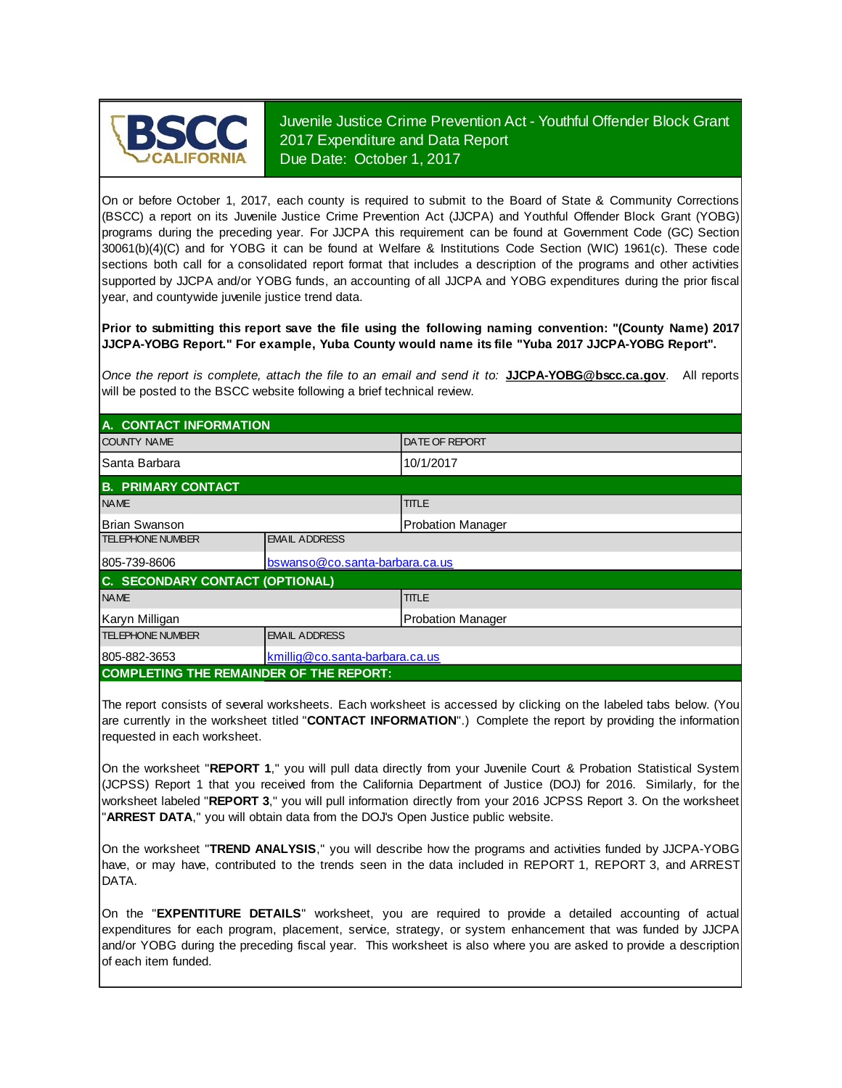

Juvenile Justice Crime Prevention Act - Youthful Offender Block Grant 2017 Expenditure and Data Report Due Date: October 1, 2017

On or before October 1, 2017, each county is required to submit to the Board of State & Community Corrections (BSCC) <sup>a</sup> report on its Juvenile Justice Crime Prevention Act (JJCPA) and Youthful Offender Block Grant (YOBG) programs during the preceding year. For JJCPA this requirement can be found at Government Code (GC) Section 30061(b)(4)(C) and for YOBG it can be found at Welfare & Institutions Code Section (WIC) 1961(c). These code sections both call for <sup>a</sup> consolidated report format that includes <sup>a</sup> description of the programs and other activities supported by JJCPA and/or YOBG funds, an accounting of all JJCPA and YOBG expenditures during the prior fiscal year, and countywide juvenile justice trend data.

**Prior to submitting this report save the file using the following naming convention: "(County Name) 2017 JJCPA-YOBG Report." For example, Yuba County would name its file "Yuba 2017 JJCPA-YOBG Report".**

*Once the report is complete, attach the file t o an email and send it to:* **JJCPA-YOBG@bscc.ca.gov**. All reports will be posted to the BSCC website following a brief technical review.

| A. CONTACT INFORMATION                         |                                  |                       |  |
|------------------------------------------------|----------------------------------|-----------------------|--|
| <b>COUNTY NAME</b>                             |                                  | <b>DATE OF REPORT</b> |  |
| ISanta Barbara                                 |                                  | 10/1/2017             |  |
| <b>B. PRIMARY CONTACT</b>                      |                                  |                       |  |
| <b>NAME</b>                                    |                                  | <b>TITLE</b>          |  |
| <b>Brian Swanson</b>                           | Probation Manager                |                       |  |
| <b>TELEPHONE NUMBER</b>                        | <b>EMAIL ADDRESS</b>             |                       |  |
| 805-739-8606                                   | bswanso@co.santa-barbara.ca.us   |                       |  |
| C. SECONDARY CONTACT (OPTIONAL)                |                                  |                       |  |
| <b>NAME</b>                                    |                                  | <b>TITLE</b>          |  |
| Karyn Milligan                                 | Probation Manager                |                       |  |
| <b>TELEPHONE NUMBER</b>                        | <b>EMAIL ADDRESS</b>             |                       |  |
| 805-882-3653                                   | $kmilliq@co.santa-barbara.ca.us$ |                       |  |
| <b>COMPLETING THE REMAINDER OF THE REPORT:</b> |                                  |                       |  |

The report consists of several worksheets. Each worksheet is accessed by clicking on the labeled tabs below. (You are currently in the worksheet titled "**CONTACT INFORMATION**".) Complete the report by providing the information requested in each worksheet.

On the worksheet "**REPORT 1**, " you will pull data directly from your Juvenile Court & Probation Statistical System (JCPSS) Report 1 that you received from the California Department of Justice (DOJ) for 2016. Similarly, for the worksheet labeled "**REPORT 3**, " you will pull information directly from your 2016 JCPSS Report 3. On the worksheet "**ARREST DATA**," you will obtain data from the DOJ's Open Justice public website.

On the worksheet "**TREND ANALYSIS**, " you will describe how the programs and activities funded by JJCPA-YOBG have, or may have, contributed to the trends seen in the data included in REPORT 1, REPORT 3, and ARREST DATA.

On the "EXPENTITURE DETAILS" worksheet, you are required to provide a detailed accounting of actual expenditures for each program, placement, service, strategy, or system enhancement that was funded by JJCPA and/or YOBG during the preceding fiscal year. This worksheet is also where you are asked to provide a description of each item funded.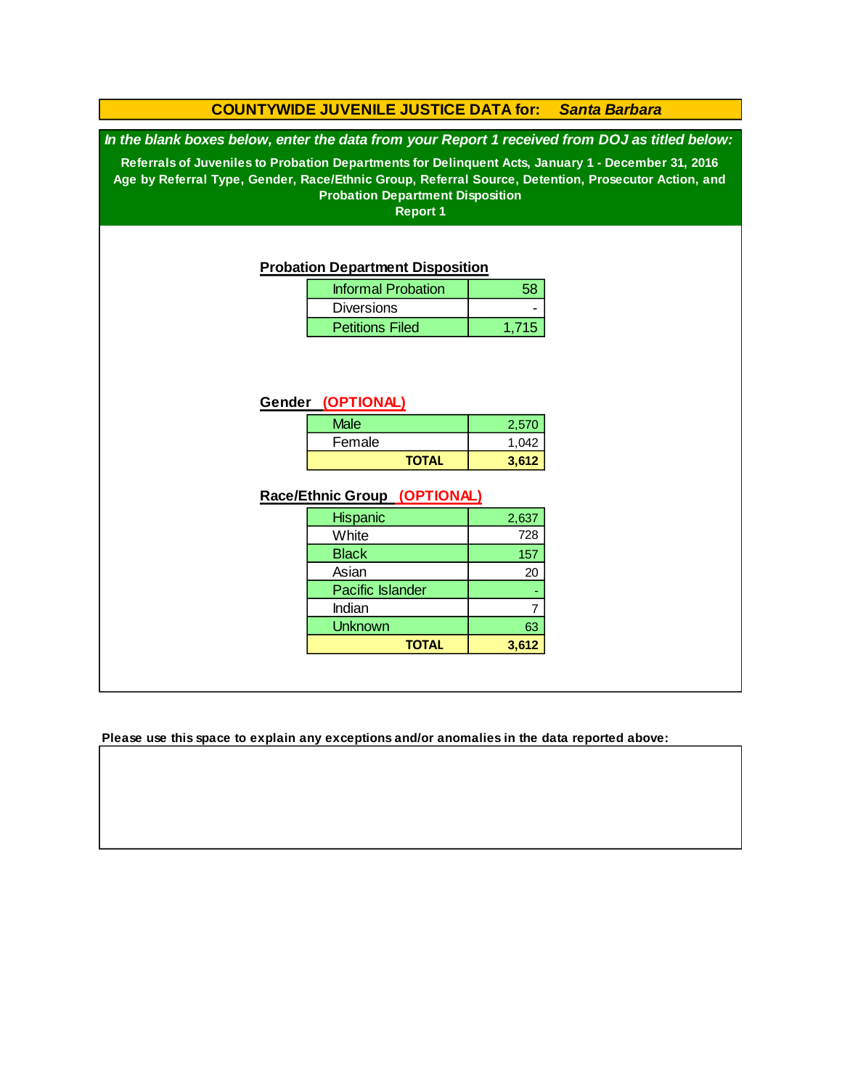### **COUNTYWIDE JUVENILE JUSTICE DATA for:** *Santa Barbara*

*In the blank boxes below, enter the data from your Report 1 received from DOJ as titled below:*

**Referrals of Juveniles to Probation Departments for Delinquent Acts, January 1 - December 31, 2016 Age by Referral Type, Gender, Race/Ethnic Group, Referral Source, Detention, Prosecutor Action, and Probation Department Disposition**

**Report 1**

#### **Probation Department Disposition**

| <b>Informal Probation</b> |       |
|---------------------------|-------|
| <b>Diversions</b>         |       |
| <b>Petitions Filed</b>    | 1.715 |

### **Gender (OPTIONAL)**

| Male         | 2,570 |
|--------------|-------|
| Female       | 1.042 |
| <b>TOTAL</b> | 3.612 |

### **Race/Ethnic Group (OPTIONAL)**

| <b>Hispanic</b>         | 2,637 |
|-------------------------|-------|
| White                   | 728   |
| <b>Black</b>            | 157   |
| Asian                   | 20    |
| <b>Pacific Islander</b> |       |
| Indian                  |       |
| <b>Unknown</b>          | 63    |
| <b>TOTAL</b>            | 3.612 |

**Please use this space to explain any exceptions and/or anomalies in the data reported above:**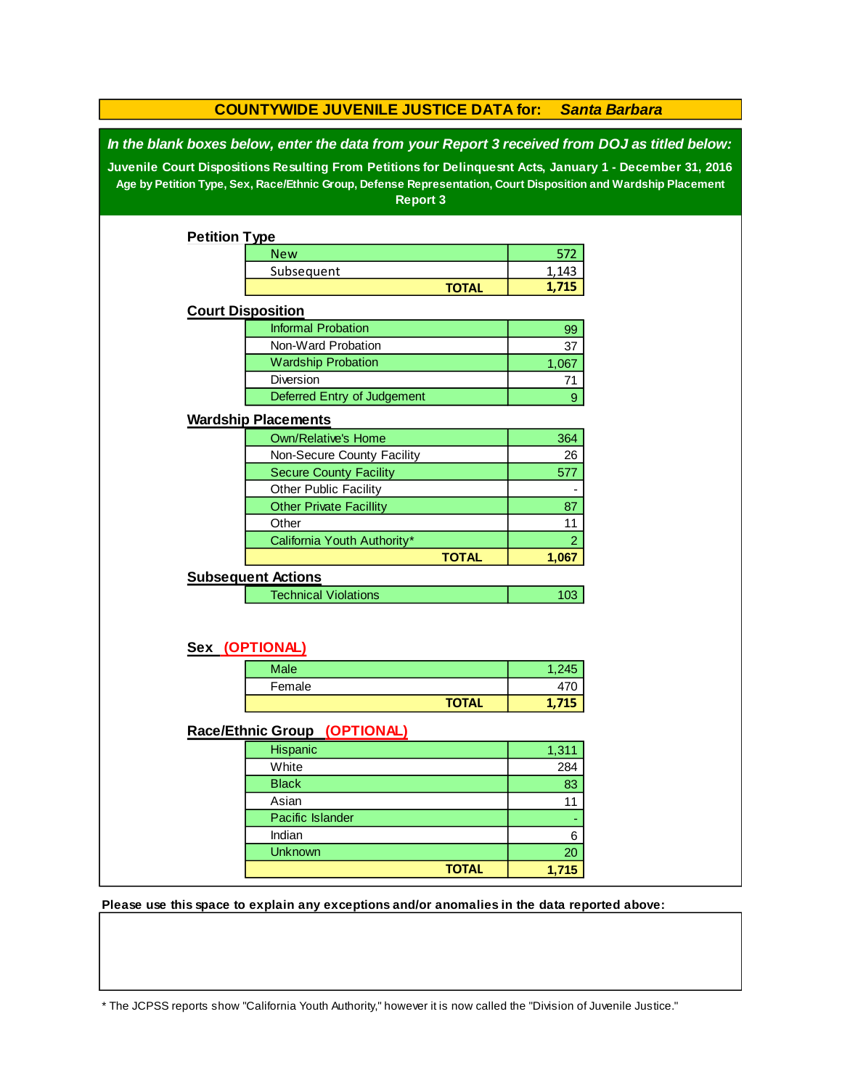|                                                                                                                                                                                                                                                                                                                                                 | <b>COUNTYWIDE JUVENILE JUSTICE DATA for:</b> |              |                | <b>Santa Barbara</b> |
|-------------------------------------------------------------------------------------------------------------------------------------------------------------------------------------------------------------------------------------------------------------------------------------------------------------------------------------------------|----------------------------------------------|--------------|----------------|----------------------|
| In the blank boxes below, enter the data from your Report 3 received from DOJ as titled below:<br>Juvenile Court Dispositions Resulting From Petitions for Delinquesnt Acts, January 1 - December 31, 2016<br>Age by Petition Type, Sex, Race/Ethnic Group, Defense Representation, Court Disposition and Wardship Placement<br><b>Report 3</b> |                                              |              |                |                      |
| <b>Petition Type</b>                                                                                                                                                                                                                                                                                                                            |                                              |              |                |                      |
|                                                                                                                                                                                                                                                                                                                                                 | <b>New</b>                                   |              | 572            |                      |
|                                                                                                                                                                                                                                                                                                                                                 | Subsequent                                   |              | 1,143          |                      |
|                                                                                                                                                                                                                                                                                                                                                 |                                              | <b>TOTAL</b> | 1,715          |                      |
|                                                                                                                                                                                                                                                                                                                                                 | <b>Court Disposition</b>                     |              |                |                      |
|                                                                                                                                                                                                                                                                                                                                                 | <b>Informal Probation</b>                    |              | 99             |                      |
|                                                                                                                                                                                                                                                                                                                                                 | Non-Ward Probation                           |              | 37             |                      |
|                                                                                                                                                                                                                                                                                                                                                 | <b>Wardship Probation</b>                    |              | 1,067          |                      |
|                                                                                                                                                                                                                                                                                                                                                 | Diversion                                    |              | 71             |                      |
|                                                                                                                                                                                                                                                                                                                                                 | Deferred Entry of Judgement                  |              | $9\,$          |                      |
|                                                                                                                                                                                                                                                                                                                                                 | <b>Wardship Placements</b>                   |              |                |                      |
|                                                                                                                                                                                                                                                                                                                                                 | <b>Own/Relative's Home</b>                   |              | 364            |                      |
|                                                                                                                                                                                                                                                                                                                                                 | Non-Secure County Facility                   |              | 26             |                      |
|                                                                                                                                                                                                                                                                                                                                                 | <b>Secure County Facility</b>                |              | 577            |                      |
|                                                                                                                                                                                                                                                                                                                                                 | Other Public Facility                        |              |                |                      |
|                                                                                                                                                                                                                                                                                                                                                 | <b>Other Private Facillity</b>               |              | 87             |                      |
|                                                                                                                                                                                                                                                                                                                                                 | Other                                        |              | 11             |                      |
|                                                                                                                                                                                                                                                                                                                                                 | California Youth Authority*                  |              | $\overline{2}$ |                      |
|                                                                                                                                                                                                                                                                                                                                                 |                                              | <b>TOTAL</b> | 1,067          |                      |
|                                                                                                                                                                                                                                                                                                                                                 | <b>Subsequent Actions</b>                    |              |                |                      |
|                                                                                                                                                                                                                                                                                                                                                 | <b>Technical Violations</b>                  |              | 103            |                      |
|                                                                                                                                                                                                                                                                                                                                                 | Sex (OPTIONAL)                               |              |                |                      |
|                                                                                                                                                                                                                                                                                                                                                 | <b>Male</b>                                  |              | 1,245          |                      |
|                                                                                                                                                                                                                                                                                                                                                 | Female                                       |              | 470            |                      |
|                                                                                                                                                                                                                                                                                                                                                 |                                              | <b>TOTAL</b> | 1,715          |                      |
|                                                                                                                                                                                                                                                                                                                                                 |                                              |              |                |                      |
|                                                                                                                                                                                                                                                                                                                                                 | Race/Ethnic Group (OPTIONAL)                 |              |                |                      |
|                                                                                                                                                                                                                                                                                                                                                 | Hispanic                                     |              | 1,311          |                      |
|                                                                                                                                                                                                                                                                                                                                                 | White                                        |              | 284            |                      |
|                                                                                                                                                                                                                                                                                                                                                 | <b>Black</b>                                 |              | 83             |                      |
|                                                                                                                                                                                                                                                                                                                                                 | Asian                                        |              | 11             |                      |
|                                                                                                                                                                                                                                                                                                                                                 | Pacific Islander                             |              |                |                      |
|                                                                                                                                                                                                                                                                                                                                                 | Indian                                       |              | 6              |                      |
|                                                                                                                                                                                                                                                                                                                                                 | <b>Unknown</b>                               |              | 20             |                      |
|                                                                                                                                                                                                                                                                                                                                                 |                                              | <b>TOTAL</b> | 1,715          |                      |

**Please use this space to explain any exceptions and/or anomalies in the data reported above:** 

\* The JCPSS reports show "California Youth Authority," however it is now called the "Division of Juvenile Justice."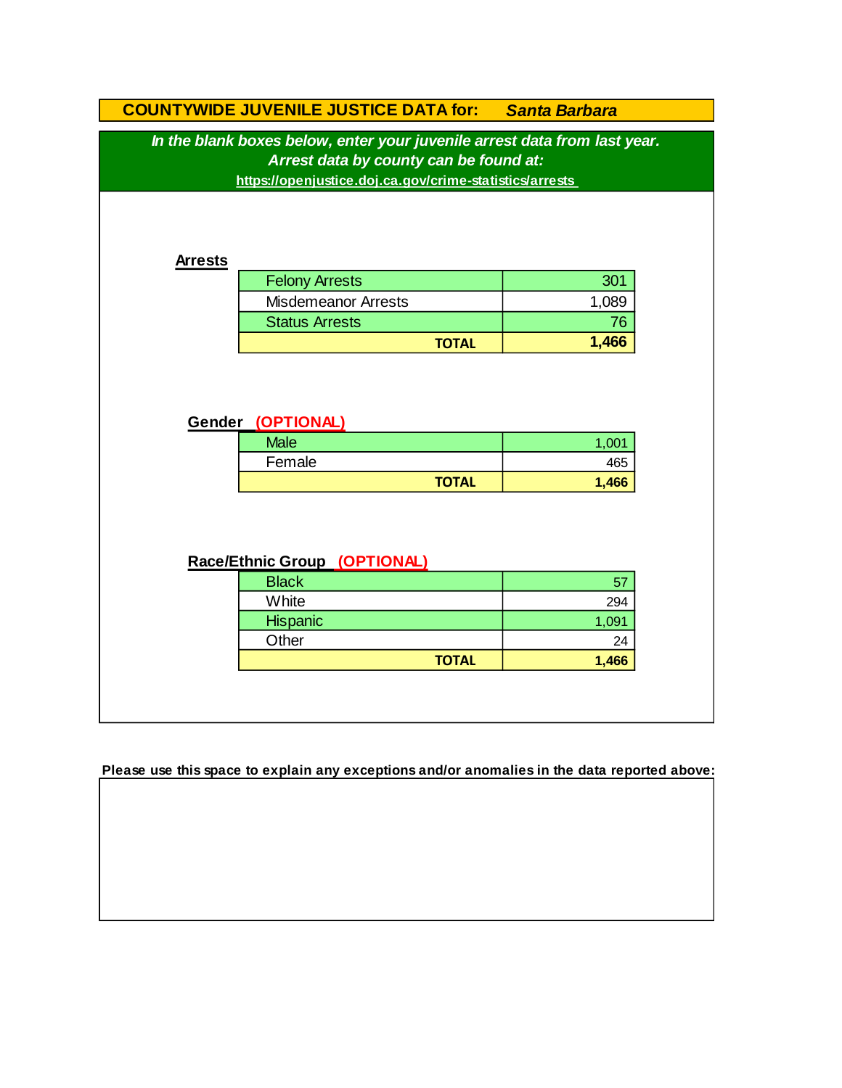| In the blank boxes below, enter your juvenile arrest data from last year.<br>Arrest data by county can be found at:<br>https://openjustice.doj.ca.gov/crime-statistics/arrests<br><b>Arrests</b><br><b>Felony Arrests</b><br>301<br><b>Misdemeanor Arrests</b><br>1,089<br><b>Status Arrests</b><br>76<br>1,466<br><b>TOTAL</b> |  |
|---------------------------------------------------------------------------------------------------------------------------------------------------------------------------------------------------------------------------------------------------------------------------------------------------------------------------------|--|
|                                                                                                                                                                                                                                                                                                                                 |  |
|                                                                                                                                                                                                                                                                                                                                 |  |
|                                                                                                                                                                                                                                                                                                                                 |  |
|                                                                                                                                                                                                                                                                                                                                 |  |
|                                                                                                                                                                                                                                                                                                                                 |  |
|                                                                                                                                                                                                                                                                                                                                 |  |
|                                                                                                                                                                                                                                                                                                                                 |  |
|                                                                                                                                                                                                                                                                                                                                 |  |
|                                                                                                                                                                                                                                                                                                                                 |  |
|                                                                                                                                                                                                                                                                                                                                 |  |
|                                                                                                                                                                                                                                                                                                                                 |  |
|                                                                                                                                                                                                                                                                                                                                 |  |
|                                                                                                                                                                                                                                                                                                                                 |  |
| Gender (OPTIONAL)                                                                                                                                                                                                                                                                                                               |  |
| <b>Male</b><br>1,001                                                                                                                                                                                                                                                                                                            |  |
| Female<br>465                                                                                                                                                                                                                                                                                                                   |  |
| <b>TOTAL</b><br>1,466                                                                                                                                                                                                                                                                                                           |  |
|                                                                                                                                                                                                                                                                                                                                 |  |
|                                                                                                                                                                                                                                                                                                                                 |  |
| Race/Ethnic Group (OPTIONAL)                                                                                                                                                                                                                                                                                                    |  |
| <b>Black</b><br>57                                                                                                                                                                                                                                                                                                              |  |
| White<br>294                                                                                                                                                                                                                                                                                                                    |  |
| Hispanic<br>1,091                                                                                                                                                                                                                                                                                                               |  |
| Other<br>24                                                                                                                                                                                                                                                                                                                     |  |
| <b>TOTAL</b><br>1,466                                                                                                                                                                                                                                                                                                           |  |
|                                                                                                                                                                                                                                                                                                                                 |  |
|                                                                                                                                                                                                                                                                                                                                 |  |

**Please use this space to explain any exceptions and/or anomalies in the data reported above:**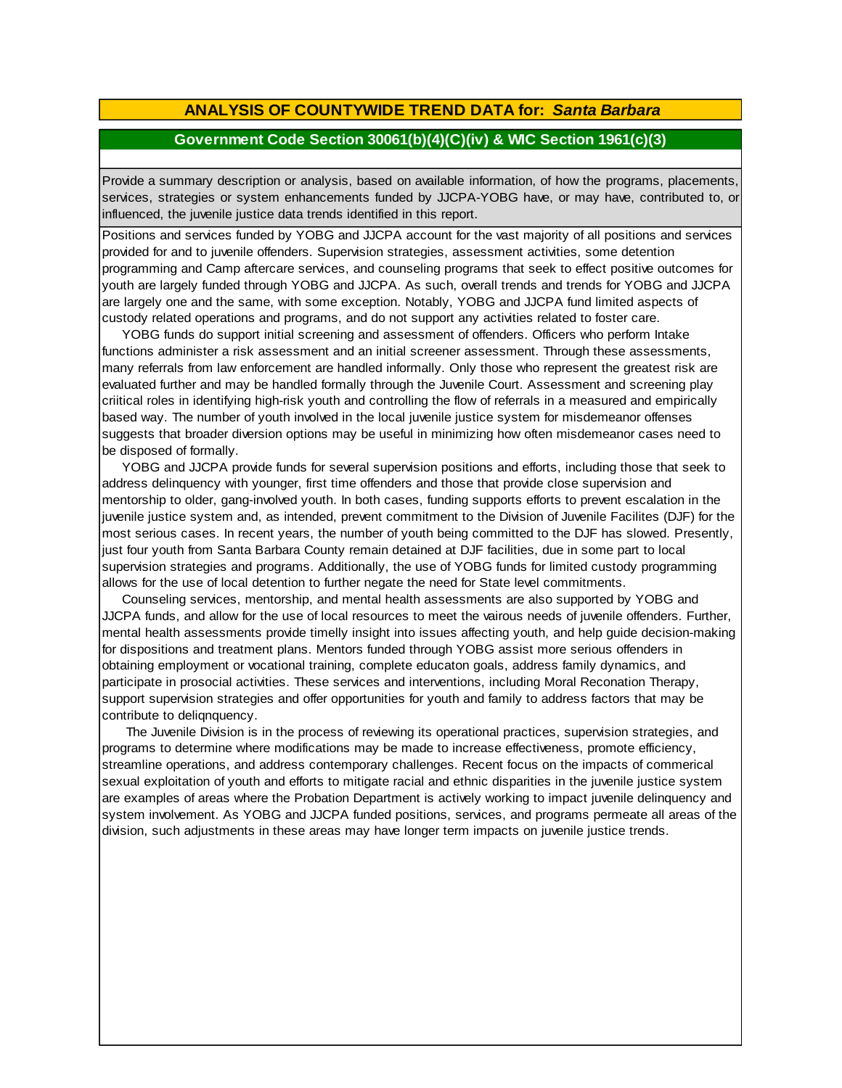### **ANALYSIS OF COUNTYWIDE TREND DATA for:** *Santa Barbara*

### **Government Code Section 30061(b)(4)(C)(iv) & WIC Section 1961(c)(3)**

Provide <sup>a</sup> summary description or analysis, based on available information, of how the programs, placements, services, strategies or system enhancements funded by JJCPA-YOBG have, or may have, contributed to, or influenced, the juvenile justice data trends identified in this report.

Positions and services funded by YOBG and JJCPA account for the vast majority of all positions and services provided for and to juvenile offenders. Supervision strategies, assessment activities, some detention programming and Camp aftercare services, and counseling programs that seek to effect positive outcomes for youth are largely funded through YOBG and JJCPA. As such, overall trends and trends for YOBG and JJCPA are largely one and the same, with some exception. Notably, YOBG and JJCPA fund limited aspects of custody related operations and programs, and do not support any activities related to foster care.

 YOBG funds do support initial screening and assessment of offenders. Officers who perform Intake functions administer a risk assessment and an initial screener assessment. Through these assessments, many referrals from law enforcement are handled informally. Only those who represent the greatest risk are evaluated further and may be handled formally through the Juvenile Court. Assessment and screening play criitical roles in identifying high-risk youth and controlling the flow of referrals in a measured and empirically based way. The number of youth involved in the local juvenile justice system for misdemeanor offenses suggests that broader diversion options may be useful in minimizing how often misdemeanor cases need to be disposed of formally.

YOBG and JJCPA provide funds for several supervision positions and efforts, including those that seek to address delinquency with younger, first time offenders and those that provide close supervision and mentorship to older, gang-involved youth. In both cases, funding supports efforts to prevent escalation in the juvenile justice system and, as intended, prevent commitment to the Division of Juvenile Facilites (DJF) for the most serious cases. In recent years, the number of youth being committed to the DJF has slowed. Presently, just four youth from Santa Barbara County remain detained at DJF facilities, due in some part to local supervision strategies and programs. Additionally, the use of YOBG funds for limited custody programming allows for the use of local detention to further negate the need for State level commitments.

 Counseling services, mentorship, and mental health assessments are also supported by YOBG and JJCPA funds, and allow for the use of local resources to meet the vairous needs of juvenile offenders. Further, mental health assessments provide timelly insight into issues affecting youth, and help guide decision-making for dispositions and treatment plans. Mentors funded through YOBG assist more serious offenders in obtaining employment or vocational training, complete educaton goals, address family dynamics, and participate in prosocial activities. These services and interventions, including Moral Reconation Therapy, support supervision strategies and offer opportunities for youth and family to address factors that may be contribute to deliqnquency.

 The Juvenile Division is in the process of reviewing its operational practices, supervision strategies, and programs to determine where modifications may be made to increase effectiveness, promote efficiency, streamline operations, and address contemporary challenges. Recent focus on the impacts of commerical sexual exploitation of youth and efforts to mitigate racial and ethnic disparities in the juvenile justice system are examples of areas where the Probation Department is actively working to impact juvenile delinquency and system involvement. As YOBG and JJCPA funded positions, services, and programs permeate all areas of the division, such adjustments in these areas may have longer term impacts on juvenile justice trends.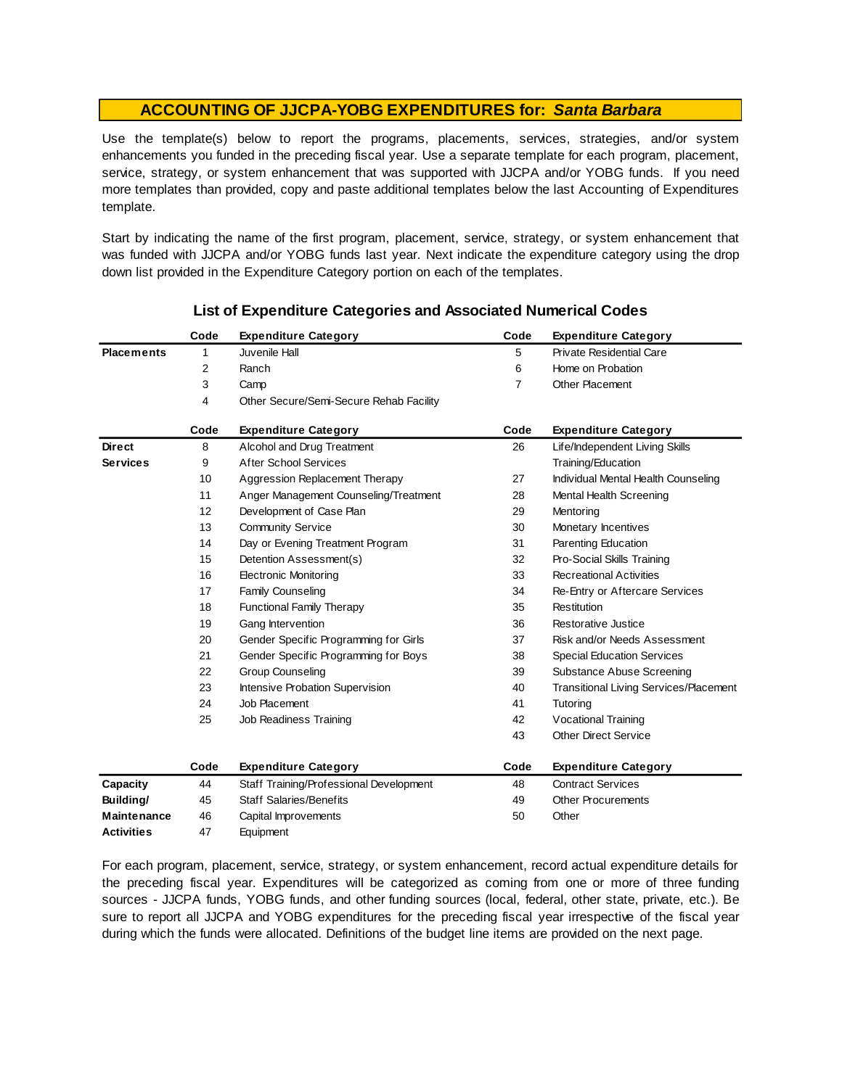Use the template(s) below to report the programs, placements, services, strategies, and/or system enhancements you funded in the preceding fiscal year. Use <sup>a</sup> separate template for each program, placement, service, strategy, or system enhancement that was supported with JJCPA and/or YOBG funds. If you need more templates than provided, copy and paste additional templates below the last Accounting of Expenditures template.

Start by indicating the name of the first program, placement, service, strategy, or system enhancement that was funded with JJCPA and/or YOBG funds last year. Next indicate the expenditure category using the drop down list provided in the Expenditure Category portion on each of the templates.

|                    | Code | <b>Expenditure Category</b>             | Code           | <b>Expenditure Category</b>                   |
|--------------------|------|-----------------------------------------|----------------|-----------------------------------------------|
| <b>Placements</b>  | 1    | Juvenile Hall                           | 5              | <b>Private Residential Care</b>               |
|                    | 2    | Ranch                                   | 6              | Home on Probation                             |
|                    | 3    | Camp                                    | $\overline{7}$ | <b>Other Placement</b>                        |
|                    | 4    | Other Secure/Semi-Secure Rehab Facility |                |                                               |
|                    | Code | <b>Expenditure Category</b>             | Code           | <b>Expenditure Category</b>                   |
| <b>Direct</b>      | 8    | Alcohol and Drug Treatment              | 26             | Life/Independent Living Skills                |
| <b>Services</b>    | 9    | <b>After School Services</b>            |                | Training/Education                            |
|                    | 10   | Aggression Replacement Therapy          | 27             | Individual Mental Health Counseling           |
|                    | 11   | Anger Management Counseling/Treatment   | 28             | Mental Health Screening                       |
|                    | 12   | Development of Case Plan                | 29             | Mentoring                                     |
|                    | 13   | <b>Community Service</b>                | 30             | Monetary Incentives                           |
|                    | 14   | Day or Evening Treatment Program        | 31             | Parenting Education                           |
|                    | 15   | Detention Assessment(s)                 | 32             | Pro-Social Skills Training                    |
|                    | 16   | <b>Electronic Monitoring</b>            | 33             | <b>Recreational Activities</b>                |
|                    | 17   | <b>Family Counseling</b>                | 34             | Re-Entry or Aftercare Services                |
|                    | 18   | <b>Functional Family Therapy</b>        | 35             | Restitution                                   |
|                    | 19   | Gang Intervention                       | 36             | Restorative Justice                           |
|                    | 20   | Gender Specific Programming for Girls   | 37             | Risk and/or Needs Assessment                  |
|                    | 21   | Gender Specific Programming for Boys    | 38             | <b>Special Education Services</b>             |
|                    | 22   | <b>Group Counseling</b>                 | 39             | Substance Abuse Screening                     |
|                    | 23   | Intensive Probation Supervision         | 40             | <b>Transitional Living Services/Placement</b> |
|                    | 24   | Job Placement                           | 41             | Tutoring                                      |
|                    | 25   | Job Readiness Training                  | 42             | Vocational Training                           |
|                    |      |                                         | 43             | <b>Other Direct Service</b>                   |
|                    | Code | <b>Expenditure Category</b>             | Code           | <b>Expenditure Category</b>                   |
| Capacity           | 44   | Staff Training/Professional Development | 48             | <b>Contract Services</b>                      |
| Building/          | 45   | <b>Staff Salaries/Benefits</b>          | 49             | <b>Other Procurements</b>                     |
| <b>Maintenance</b> | 46   | Capital Improvements                    | 50             | Other                                         |
| <b>Activities</b>  | 47   | Equipment                               |                |                                               |

### **List of Expenditure Categories and Associated Numerical Codes**

For each program, placement, service, strategy, or system enhancement, record actual expenditure details for the preceding fiscal year. Expenditures will be categorized as coming from one or more of three funding sources - JJCPA funds, YOBG funds, and other funding sources (local, federal, other state, private, etc.). Be sure to report all JJCPA and YOBG expenditures for the preceding fiscal year irrespective of the fiscal year during which the funds were allocated. Definitions of the budget line items are provided on the next page.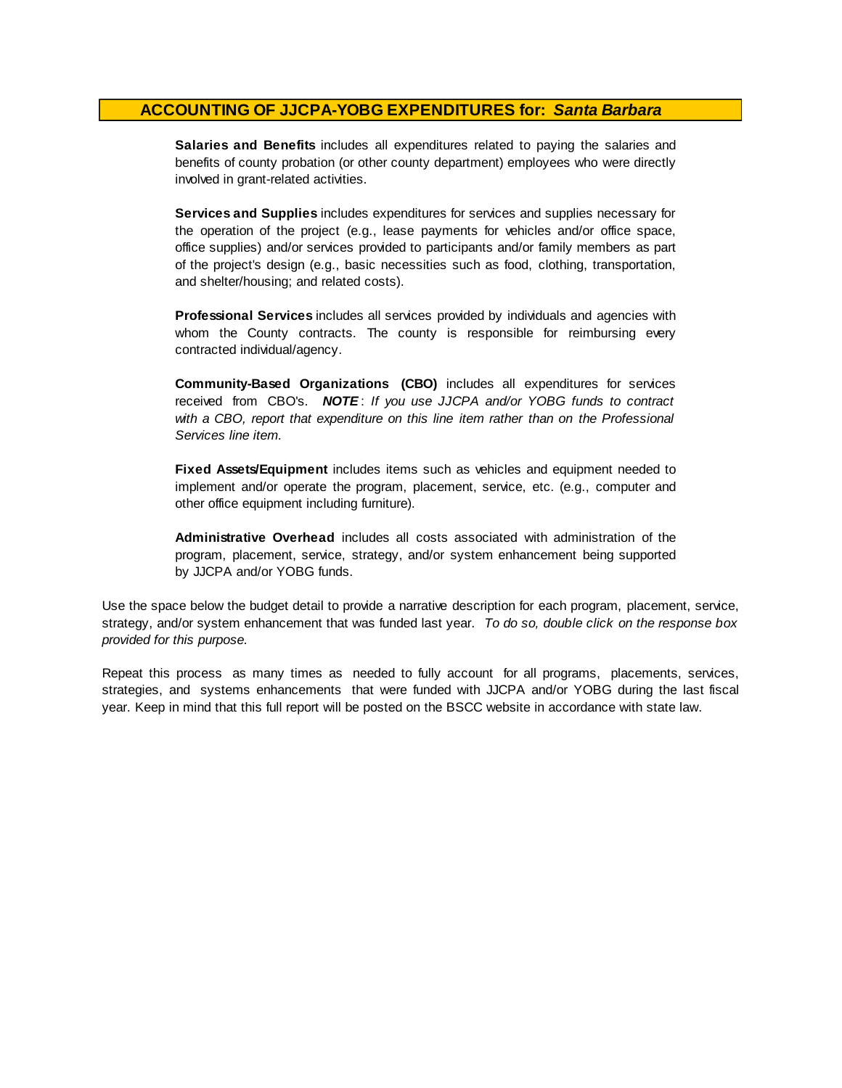**Salaries and Benefits** includes all expenditures related to paying the salaries and benefits of county probation (or other county department) employees who were directly involved in grant-related activities.

**Services and Supplies** includes expenditures for services and supplies necessary for the operation of the project (e.g., lease payments for vehicles and/or office space, office supplies) and/or services provided to participants and/or family members as part of the project's design (e.g., basic necessities such as food, clothing, transportation, and shelter/housing; and related costs).

**Professional Services** includes all services provided by individuals and agencies with whom the County contracts. The county is responsible for reimbursing every contracted individual/agency.

**Community-Based Organizations (CBO)** includes all expenditures for services received from CBO's. *NOTE* : *I f you use JJCPA and/or YOBG funds t o contract with <sup>a</sup> CBO, report that expenditure on this line item rather than on the Professional Services line item.*

**Fixed Assets/Equipment** includes items such as vehicles and equipment needed to implement and/or operate the program, placement, service, etc. (e.g., computer and other office equipment including furniture).

**Administrative Overhead** includes all costs associated with administration of the program, placement, service, strategy, and/or system enhancement being supported by JJCPA and/or YOBG funds.

Use the space below the budget detail to provide a narrative description for each program, placement, service, strategy, and/or system enhancement that was funded last year. *To do so, double click on the response box provided for this purpose.* 

Repeat this process as many times as needed to fully account for all programs, placements, services, strategies, and systems enhancements that were funded with JJCPA and/or YOBG during the last fiscal year. Keep in mind that this full report will be posted on the BSCC website in accordance with state law.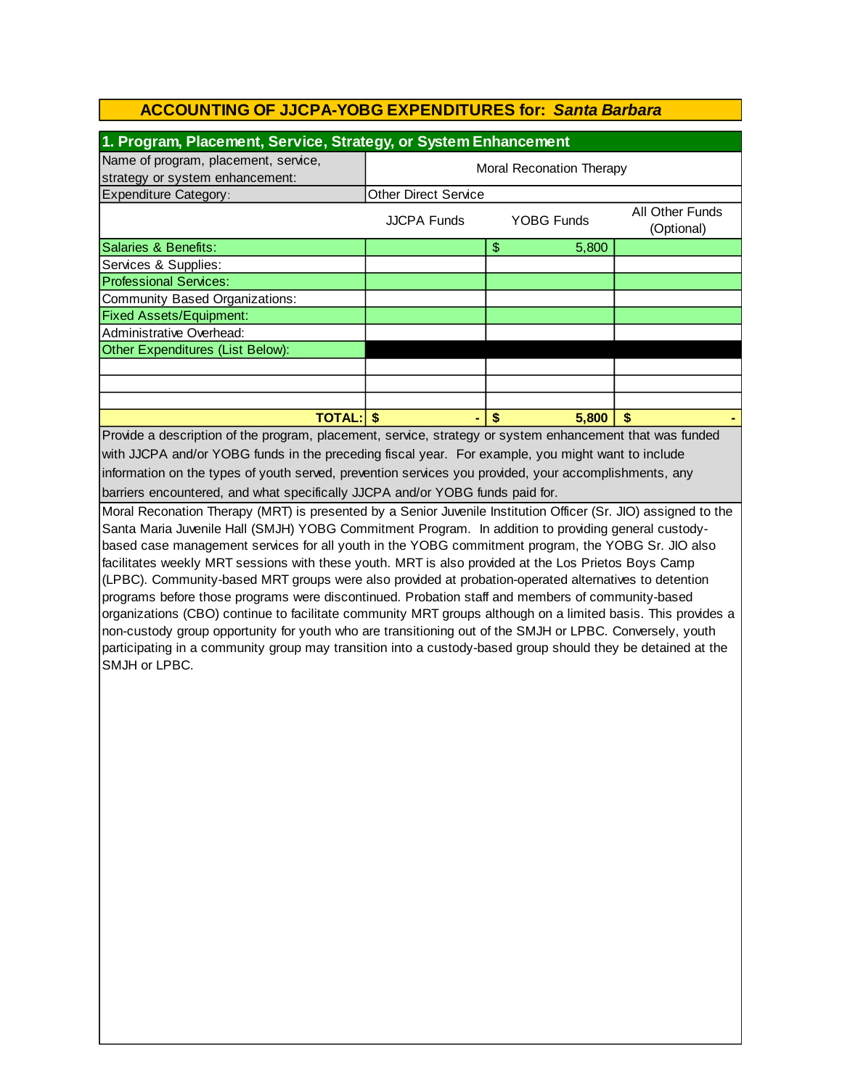| 1. Program, Placement, Service, Strategy, or System Enhancement                                                                                                                                                                                                                                                                                                                                                                                                                                                                                                                                                                                                                                                                                                                                                                                                                                                                                                                                             |                             |                                 |                               |  |  |  |
|-------------------------------------------------------------------------------------------------------------------------------------------------------------------------------------------------------------------------------------------------------------------------------------------------------------------------------------------------------------------------------------------------------------------------------------------------------------------------------------------------------------------------------------------------------------------------------------------------------------------------------------------------------------------------------------------------------------------------------------------------------------------------------------------------------------------------------------------------------------------------------------------------------------------------------------------------------------------------------------------------------------|-----------------------------|---------------------------------|-------------------------------|--|--|--|
| Name of program, placement, service,                                                                                                                                                                                                                                                                                                                                                                                                                                                                                                                                                                                                                                                                                                                                                                                                                                                                                                                                                                        | Moral Reconation Therapy    |                                 |                               |  |  |  |
| strategy or system enhancement:                                                                                                                                                                                                                                                                                                                                                                                                                                                                                                                                                                                                                                                                                                                                                                                                                                                                                                                                                                             |                             |                                 |                               |  |  |  |
| <b>Expenditure Category:</b>                                                                                                                                                                                                                                                                                                                                                                                                                                                                                                                                                                                                                                                                                                                                                                                                                                                                                                                                                                                | <b>Other Direct Service</b> |                                 |                               |  |  |  |
|                                                                                                                                                                                                                                                                                                                                                                                                                                                                                                                                                                                                                                                                                                                                                                                                                                                                                                                                                                                                             | <b>JJCPA Funds</b>          | <b>YOBG Funds</b>               | All Other Funds<br>(Optional) |  |  |  |
| Salaries & Benefits:                                                                                                                                                                                                                                                                                                                                                                                                                                                                                                                                                                                                                                                                                                                                                                                                                                                                                                                                                                                        |                             | $\frac{1}{2}$<br>5,800          |                               |  |  |  |
| Services & Supplies:                                                                                                                                                                                                                                                                                                                                                                                                                                                                                                                                                                                                                                                                                                                                                                                                                                                                                                                                                                                        |                             |                                 |                               |  |  |  |
| <b>Professional Services:</b>                                                                                                                                                                                                                                                                                                                                                                                                                                                                                                                                                                                                                                                                                                                                                                                                                                                                                                                                                                               |                             |                                 |                               |  |  |  |
| <b>Community Based Organizations:</b>                                                                                                                                                                                                                                                                                                                                                                                                                                                                                                                                                                                                                                                                                                                                                                                                                                                                                                                                                                       |                             |                                 |                               |  |  |  |
| <b>Fixed Assets/Equipment:</b>                                                                                                                                                                                                                                                                                                                                                                                                                                                                                                                                                                                                                                                                                                                                                                                                                                                                                                                                                                              |                             |                                 |                               |  |  |  |
| Administrative Overhead:                                                                                                                                                                                                                                                                                                                                                                                                                                                                                                                                                                                                                                                                                                                                                                                                                                                                                                                                                                                    |                             |                                 |                               |  |  |  |
| Other Expenditures (List Below):                                                                                                                                                                                                                                                                                                                                                                                                                                                                                                                                                                                                                                                                                                                                                                                                                                                                                                                                                                            |                             |                                 |                               |  |  |  |
|                                                                                                                                                                                                                                                                                                                                                                                                                                                                                                                                                                                                                                                                                                                                                                                                                                                                                                                                                                                                             |                             |                                 |                               |  |  |  |
|                                                                                                                                                                                                                                                                                                                                                                                                                                                                                                                                                                                                                                                                                                                                                                                                                                                                                                                                                                                                             |                             |                                 |                               |  |  |  |
|                                                                                                                                                                                                                                                                                                                                                                                                                                                                                                                                                                                                                                                                                                                                                                                                                                                                                                                                                                                                             |                             |                                 |                               |  |  |  |
| <b>TOTAL: \$</b>                                                                                                                                                                                                                                                                                                                                                                                                                                                                                                                                                                                                                                                                                                                                                                                                                                                                                                                                                                                            |                             | $\boldsymbol{\hat{s}}$<br>5,800 | \$                            |  |  |  |
| Provide a description of the program, placement, service, strategy or system enhancement that was funded<br>with JJCPA and/or YOBG funds in the preceding fiscal year. For example, you might want to include                                                                                                                                                                                                                                                                                                                                                                                                                                                                                                                                                                                                                                                                                                                                                                                               |                             |                                 |                               |  |  |  |
|                                                                                                                                                                                                                                                                                                                                                                                                                                                                                                                                                                                                                                                                                                                                                                                                                                                                                                                                                                                                             |                             |                                 |                               |  |  |  |
| information on the types of youth served, prevention services you provided, your accomplishments, any                                                                                                                                                                                                                                                                                                                                                                                                                                                                                                                                                                                                                                                                                                                                                                                                                                                                                                       |                             |                                 |                               |  |  |  |
| barriers encountered, and what specifically JJCPA and/or YOBG funds paid for.                                                                                                                                                                                                                                                                                                                                                                                                                                                                                                                                                                                                                                                                                                                                                                                                                                                                                                                               |                             |                                 |                               |  |  |  |
| Moral Reconation Therapy (MRT) is presented by a Senior Juvenile Institution Officer (Sr. JIO) assigned to the<br>Santa Maria Juvenile Hall (SMJH) YOBG Commitment Program. In addition to providing general custody-<br>based case management services for all youth in the YOBG commitment program, the YOBG Sr. JIO also<br>facilitates weekly MRT sessions with these youth. MRT is also provided at the Los Prietos Boys Camp<br>(LPBC). Community-based MRT groups were also provided at probation-operated alternatives to detention<br>programs before those programs were discontinued. Probation staff and members of community-based<br>organizations (CBO) continue to facilitate community MRT groups although on a limited basis. This provides a<br>non-custody group opportunity for youth who are transitioning out of the SMJH or LPBC. Conversely, youth<br>participating in a community group may transition into a custody-based group should they be detained at the<br>SMJH or LPBC. |                             |                                 |                               |  |  |  |
|                                                                                                                                                                                                                                                                                                                                                                                                                                                                                                                                                                                                                                                                                                                                                                                                                                                                                                                                                                                                             |                             |                                 |                               |  |  |  |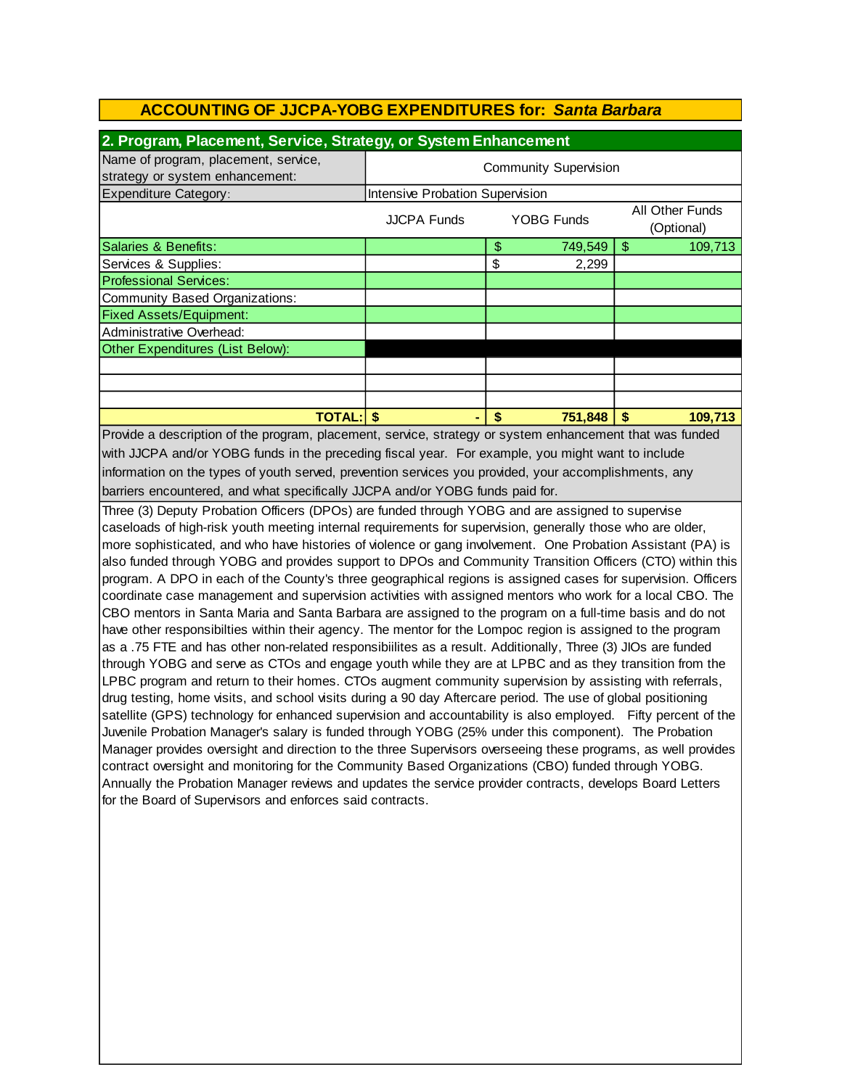| 2. Program, Placement, Service, Strategy, or System Enhancement                                               |                                                                                                              |                            |         |                       |  |
|---------------------------------------------------------------------------------------------------------------|--------------------------------------------------------------------------------------------------------------|----------------------------|---------|-----------------------|--|
| Name of program, placement, service,                                                                          | <b>Community Supervision</b>                                                                                 |                            |         |                       |  |
| strategy or system enhancement:                                                                               |                                                                                                              |                            |         |                       |  |
| <b>Expenditure Category:</b>                                                                                  | <b>Intensive Probation Supervision</b>                                                                       |                            |         |                       |  |
| All Other Funds<br><b>JJCPA Funds</b><br><b>YOBG Funds</b><br>(Optional)                                      |                                                                                                              |                            |         |                       |  |
| Salaries & Benefits:                                                                                          |                                                                                                              | $\boldsymbol{\mathsf{\$}}$ | 749,549 | $\sqrt{3}$<br>109,713 |  |
| Services & Supplies:                                                                                          |                                                                                                              | \$                         | 2,299   |                       |  |
| <b>Professional Services:</b>                                                                                 |                                                                                                              |                            |         |                       |  |
| <b>Community Based Organizations:</b>                                                                         |                                                                                                              |                            |         |                       |  |
| <b>Fixed Assets/Equipment:</b>                                                                                |                                                                                                              |                            |         |                       |  |
| Administrative Overhead:                                                                                      |                                                                                                              |                            |         |                       |  |
| Other Expenditures (List Below):                                                                              |                                                                                                              |                            |         |                       |  |
|                                                                                                               |                                                                                                              |                            |         |                       |  |
|                                                                                                               |                                                                                                              |                            |         |                       |  |
|                                                                                                               |                                                                                                              |                            |         |                       |  |
| <b>TOTAL: \$</b>                                                                                              |                                                                                                              | $\mathbf{\hat{s}}$         | 751,848 | \$<br>109,713         |  |
|                                                                                                               | Provide a description of the program, placement, service, strategy or system enhancement that was funded     |                            |         |                       |  |
| with JJCPA and/or YOBG funds in the preceding fiscal year. For example, you might want to include             |                                                                                                              |                            |         |                       |  |
| information on the types of youth served, prevention services you provided, your accomplishments, any         |                                                                                                              |                            |         |                       |  |
| barriers encountered, and what specifically JJCPA and/or YOBG funds paid for.                                 |                                                                                                              |                            |         |                       |  |
| Three (3) Deputy Probation Officers (DPOs) are funded through YOBG and are assigned to supervise              |                                                                                                              |                            |         |                       |  |
| caseloads of high-risk youth meeting internal requirements for supervision, generally those who are older,    |                                                                                                              |                            |         |                       |  |
| more sophisticated, and who have histories of violence or gang involvement. One Probation Assistant (PA) is   |                                                                                                              |                            |         |                       |  |
| also funded through YOBG and provides support to DPOs and Community Transition Officers (CTO) within this     |                                                                                                              |                            |         |                       |  |
| program. A DPO in each of the County's three geographical regions is assigned cases for supervision. Officers |                                                                                                              |                            |         |                       |  |
| coordinate case management and supervision activities with assigned mentors who work for a local CBO. The     |                                                                                                              |                            |         |                       |  |
| CBO mentors in Santa Maria and Santa Barbara are assigned to the program on a full-time basis and do not      |                                                                                                              |                            |         |                       |  |
| have other responsibilties within their agency. The mentor for the Lompoc region is assigned to the program   |                                                                                                              |                            |         |                       |  |
| as a .75 FTE and has other non-related responsibiilites as a result. Additionally, Three (3) JIOs are funded  |                                                                                                              |                            |         |                       |  |
| through YOBG and serve as CTOs and engage youth while they are at LPBC and as they transition from the        |                                                                                                              |                            |         |                       |  |
| LPBC program and return to their homes. CTOs augment community supervision by assisting with referrals,       |                                                                                                              |                            |         |                       |  |
|                                                                                                               | drug testing, home visits, and school visits during a 90 day Aftercare period. The use of global positioning |                            |         |                       |  |
| satellite (GPS) technology for enhanced supervision and accountability is also employed. Fifty percent of the |                                                                                                              |                            |         |                       |  |
| Juvenile Probation Manager's salary is funded through YOBG (25% under this component). The Probation          |                                                                                                              |                            |         |                       |  |

Manager provides oversight and direction to the three Supervisors overseeing these programs, as well provides contract oversight and monitoring for the Community Based Organizations (CBO) funded through YOBG. Annually the Probation Manager reviews and updates the service provider contracts, develops Board Letters for the Board of Supervisors and enforces said contracts.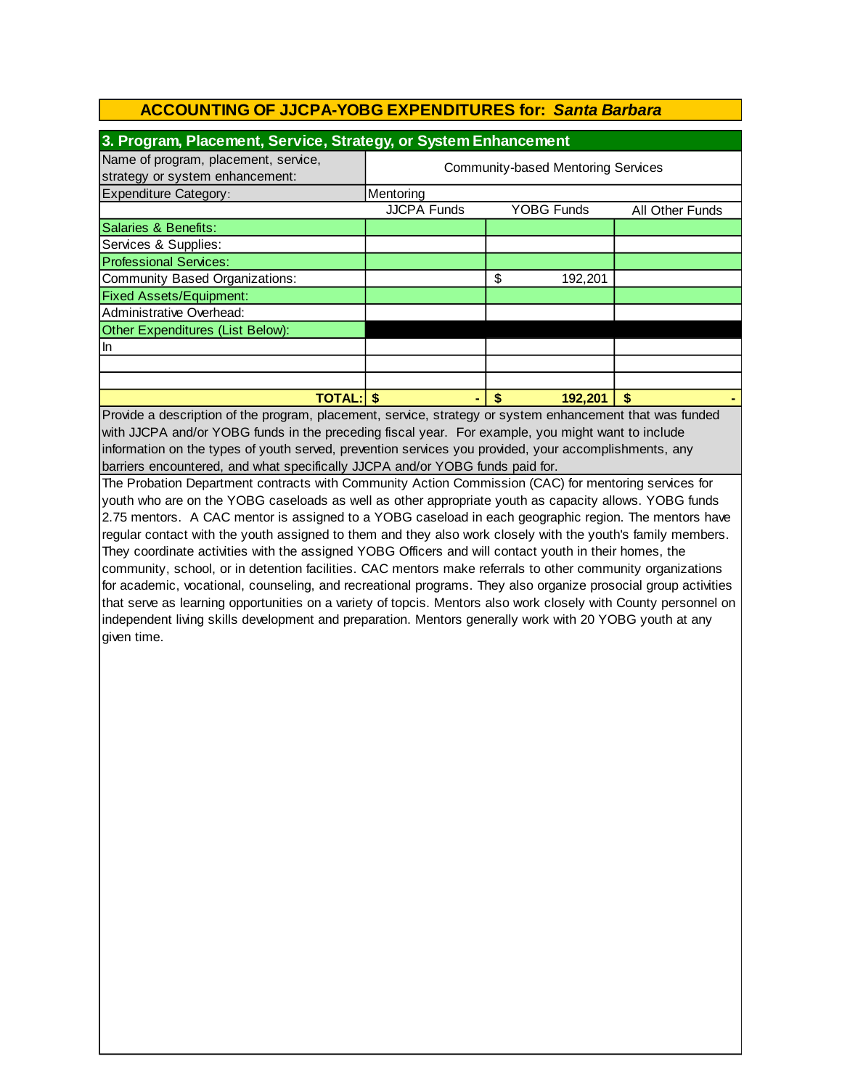| 3. Program, Placement, Service, Strategy, or System Enhancement         |                                           |                   |                 |  |  |
|-------------------------------------------------------------------------|-------------------------------------------|-------------------|-----------------|--|--|
| Name of program, placement, service,<br>strategy or system enhancement: | <b>Community-based Mentoring Services</b> |                   |                 |  |  |
| <b>Expenditure Category:</b>                                            | Mentoring                                 |                   |                 |  |  |
|                                                                         | <b>JJCPA Funds</b>                        | <b>YOBG Funds</b> | All Other Funds |  |  |
| Salaries & Benefits:                                                    |                                           |                   |                 |  |  |
| Services & Supplies:                                                    |                                           |                   |                 |  |  |
| <b>Professional Services:</b>                                           |                                           |                   |                 |  |  |
| Community Based Organizations:                                          |                                           | \$<br>192,201     |                 |  |  |
| <b>Fixed Assets/Equipment:</b>                                          |                                           |                   |                 |  |  |
| Administrative Overhead:                                                |                                           |                   |                 |  |  |
| Other Expenditures (List Below):                                        |                                           |                   |                 |  |  |
| In                                                                      |                                           |                   |                 |  |  |
|                                                                         |                                           |                   |                 |  |  |
|                                                                         |                                           |                   |                 |  |  |
| <b>TOTAL:</b>                                                           |                                           | 192,201<br>S      | S               |  |  |

Provide a description of the program, placement, service, strategy or system enhancement that was funded with JJCPA and/or YOBG funds in the preceding fiscal year. For example, you might want to include barriers encountered, and what specifically JJCPA and/or YOBG funds paid for. information on the types of youth served, prevention services you provided, your accomplishments, any

The Probation Department contracts with Community Action Commission (CAC) for mentoring services for youth who are on the YOBG caseloads as well as other appropriate youth as capacity allows. YOBG funds 2.75 mentors. A CAC mentor is assigned to a YOBG caseload in each geographic region. The mentors have regular contact with the youth assigned to them and they also work closely with the youth's family members. They coordinate activities with the assigned YOBG Officers and will contact youth in their homes, the community, school, or in detention facilities. CAC mentors make referrals to other community organizations for academic, vocational, counseling, and recreational programs. They also organize prosocial group activities that serve as learning opportunities on a variety of topcis. Mentors also work closely with County personnel on independent living skills development and preparation. Mentors generally work with 20 YOBG youth at any given time.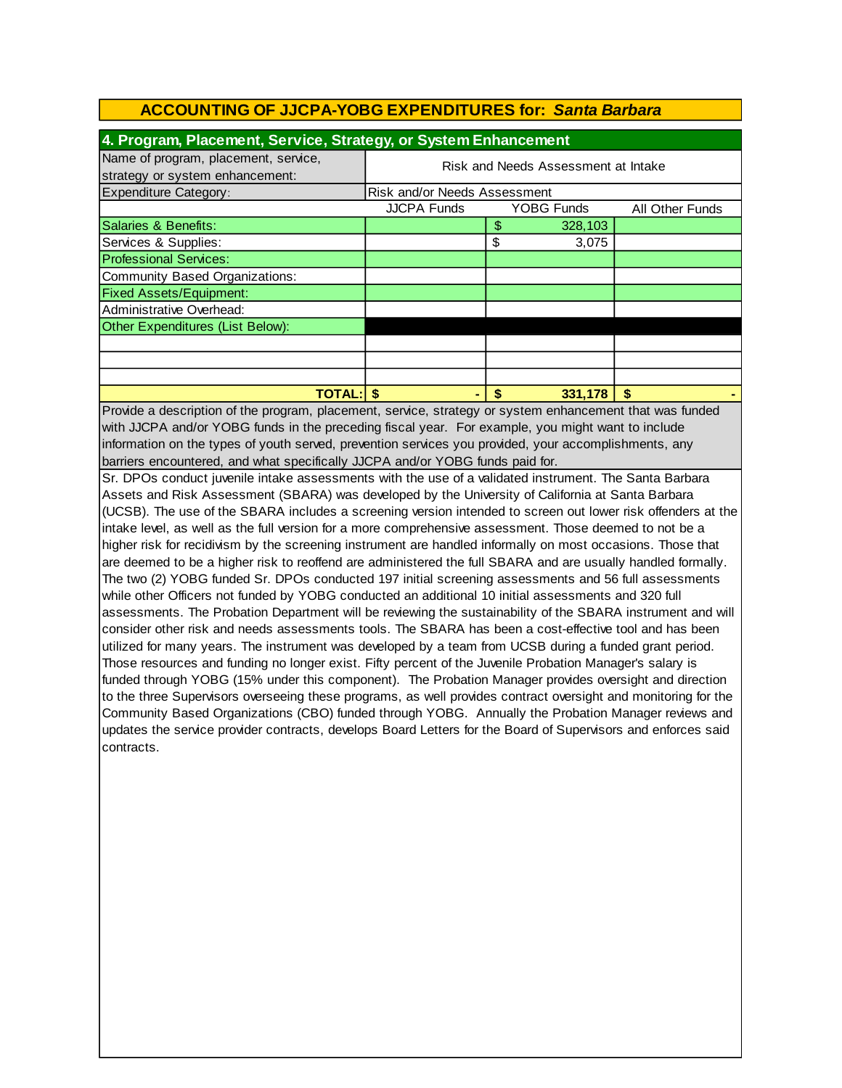| 4. Program, Placement, Service, Strategy, or System Enhancement                                          |                                     |    |                   |                 |  |  |
|----------------------------------------------------------------------------------------------------------|-------------------------------------|----|-------------------|-----------------|--|--|
| Name of program, placement, service,<br>strategy or system enhancement:                                  | Risk and Needs Assessment at Intake |    |                   |                 |  |  |
| <b>Expenditure Category:</b>                                                                             | Risk and/or Needs Assessment        |    |                   |                 |  |  |
|                                                                                                          | <b>JJCPA Funds</b>                  |    | <b>YOBG Funds</b> | All Other Funds |  |  |
| Salaries & Benefits:                                                                                     |                                     | \$ | 328,103           |                 |  |  |
| Services & Supplies:                                                                                     |                                     | \$ | 3,075             |                 |  |  |
| <b>Professional Services:</b>                                                                            |                                     |    |                   |                 |  |  |
| Community Based Organizations:                                                                           |                                     |    |                   |                 |  |  |
| <b>Fixed Assets/Equipment:</b>                                                                           |                                     |    |                   |                 |  |  |
| Administrative Overhead:                                                                                 |                                     |    |                   |                 |  |  |
| Other Expenditures (List Below):                                                                         |                                     |    |                   |                 |  |  |
|                                                                                                          |                                     |    |                   |                 |  |  |
|                                                                                                          |                                     |    |                   |                 |  |  |
|                                                                                                          |                                     |    |                   |                 |  |  |
| <b>TOTAL:IS</b>                                                                                          | ۰                                   | \$ | 331,178           |                 |  |  |
| Provide a description of the program, placement, service, strategy or system enhancement that was funded |                                     |    |                   |                 |  |  |

Provide a description of the program, placement, service, strategy or system enhancement that was funded with JJCPA and/or YOBG funds in the preceding fiscal year. For example, you might want to include information on the types of youth served, prevention services you provided, your accomplishments, any barriers encountered, and what specifically JJCPA and/or YOBG funds paid for.

Sr. DPOs conduct juvenile intake assessments with the use of a validated instrument. The Santa Barbara Assets and Risk Assessment (SBARA) was developed by the University of California at Santa Barbara (UCSB). The use of the SBARA includes a screening version intended to screen out lower risk offenders at the intake level, as well as the full version for a more comprehensive assessment. Those deemed to not be a higher risk for recidivism by the screening instrument are handled informally on most occasions. Those that are deemed to be a higher risk to reoffend are administered the full SBARA and are usually handled formally. The two (2) YOBG funded Sr. DPOs conducted 197 initial screening assessments and 56 full assessments while other Officers not funded by YOBG conducted an additional 10 initial assessments and 320 full assessments. The Probation Department will be reviewing the sustainability of the SBARA instrument and will consider other risk and needs assessments tools. The SBARA has been a cost-effective tool and has been utilized for many years. The instrument was developed by a team from UCSB during a funded grant period. Those resources and funding no longer exist. Fifty percent of the Juvenile Probation Manager's salary is funded through YOBG (15% under this component). The Probation Manager provides oversight and direction to the three Supervisors overseeing these programs, as well provides contract oversight and monitoring for the Community Based Organizations (CBO) funded through YOBG. Annually the Probation Manager reviews and updates the service provider contracts, develops Board Letters for the Board of Supervisors and enforces said contracts.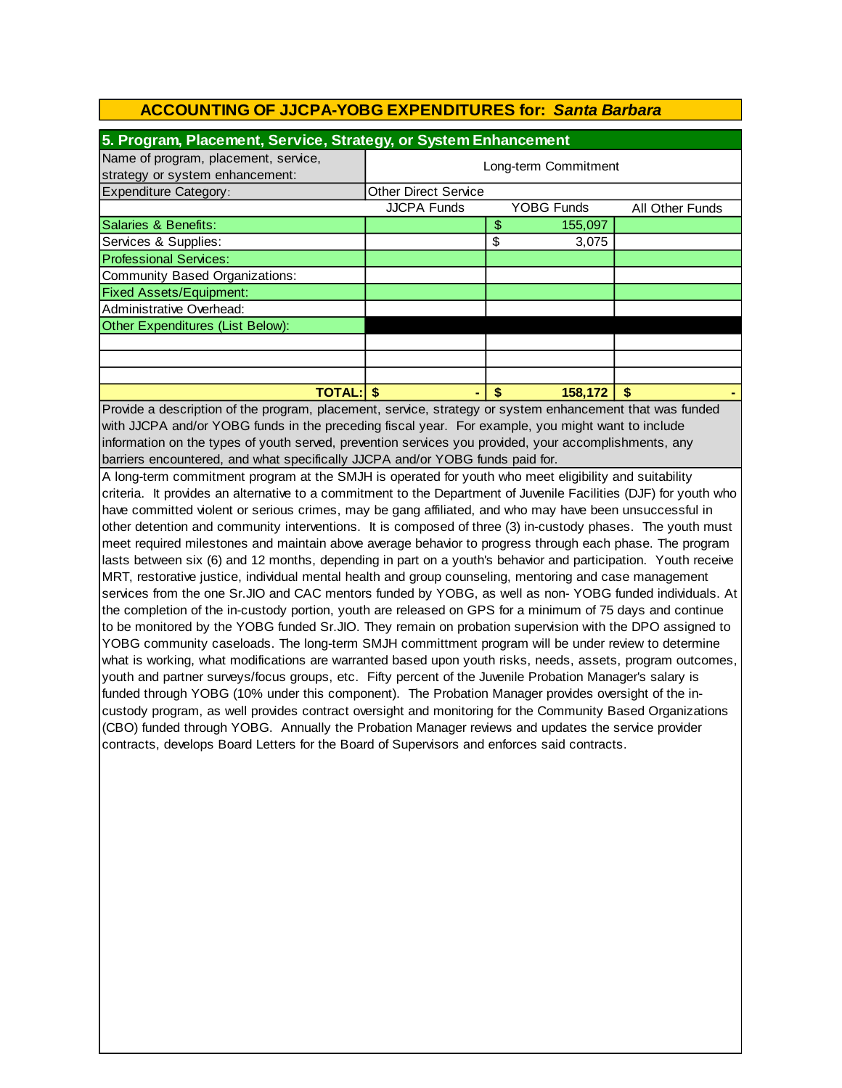| 5. Program, Placement, Service, Strategy, or System Enhancement                                                                                                                                                                                                                                                                                                                                                                                                                                                                                                                                                                                                                                                                                                                                                                                                                                                                                                                                                                                                                           |                                                            |               |         |    |  |
|-------------------------------------------------------------------------------------------------------------------------------------------------------------------------------------------------------------------------------------------------------------------------------------------------------------------------------------------------------------------------------------------------------------------------------------------------------------------------------------------------------------------------------------------------------------------------------------------------------------------------------------------------------------------------------------------------------------------------------------------------------------------------------------------------------------------------------------------------------------------------------------------------------------------------------------------------------------------------------------------------------------------------------------------------------------------------------------------|------------------------------------------------------------|---------------|---------|----|--|
| Name of program, placement, service,                                                                                                                                                                                                                                                                                                                                                                                                                                                                                                                                                                                                                                                                                                                                                                                                                                                                                                                                                                                                                                                      |                                                            |               |         |    |  |
| strategy or system enhancement:                                                                                                                                                                                                                                                                                                                                                                                                                                                                                                                                                                                                                                                                                                                                                                                                                                                                                                                                                                                                                                                           | Long-term Commitment                                       |               |         |    |  |
| <b>Expenditure Category:</b>                                                                                                                                                                                                                                                                                                                                                                                                                                                                                                                                                                                                                                                                                                                                                                                                                                                                                                                                                                                                                                                              | <b>Other Direct Service</b>                                |               |         |    |  |
|                                                                                                                                                                                                                                                                                                                                                                                                                                                                                                                                                                                                                                                                                                                                                                                                                                                                                                                                                                                                                                                                                           | <b>JJCPA Funds</b><br><b>YOBG Funds</b><br>All Other Funds |               |         |    |  |
| Salaries & Benefits:                                                                                                                                                                                                                                                                                                                                                                                                                                                                                                                                                                                                                                                                                                                                                                                                                                                                                                                                                                                                                                                                      |                                                            | $\frac{1}{2}$ | 155,097 |    |  |
| Services & Supplies:                                                                                                                                                                                                                                                                                                                                                                                                                                                                                                                                                                                                                                                                                                                                                                                                                                                                                                                                                                                                                                                                      |                                                            | \$            | 3,075   |    |  |
| <b>Professional Services:</b>                                                                                                                                                                                                                                                                                                                                                                                                                                                                                                                                                                                                                                                                                                                                                                                                                                                                                                                                                                                                                                                             |                                                            |               |         |    |  |
| <b>Community Based Organizations:</b>                                                                                                                                                                                                                                                                                                                                                                                                                                                                                                                                                                                                                                                                                                                                                                                                                                                                                                                                                                                                                                                     |                                                            |               |         |    |  |
| <b>Fixed Assets/Equipment:</b>                                                                                                                                                                                                                                                                                                                                                                                                                                                                                                                                                                                                                                                                                                                                                                                                                                                                                                                                                                                                                                                            |                                                            |               |         |    |  |
| Administrative Overhead:                                                                                                                                                                                                                                                                                                                                                                                                                                                                                                                                                                                                                                                                                                                                                                                                                                                                                                                                                                                                                                                                  |                                                            |               |         |    |  |
| Other Expenditures (List Below):                                                                                                                                                                                                                                                                                                                                                                                                                                                                                                                                                                                                                                                                                                                                                                                                                                                                                                                                                                                                                                                          |                                                            |               |         |    |  |
|                                                                                                                                                                                                                                                                                                                                                                                                                                                                                                                                                                                                                                                                                                                                                                                                                                                                                                                                                                                                                                                                                           |                                                            |               |         |    |  |
|                                                                                                                                                                                                                                                                                                                                                                                                                                                                                                                                                                                                                                                                                                                                                                                                                                                                                                                                                                                                                                                                                           |                                                            |               |         |    |  |
|                                                                                                                                                                                                                                                                                                                                                                                                                                                                                                                                                                                                                                                                                                                                                                                                                                                                                                                                                                                                                                                                                           |                                                            |               |         |    |  |
| <b>TOTAL: \$</b>                                                                                                                                                                                                                                                                                                                                                                                                                                                                                                                                                                                                                                                                                                                                                                                                                                                                                                                                                                                                                                                                          |                                                            | \$            | 158,172 | \$ |  |
| with JJCPA and/or YOBG funds in the preceding fiscal year. For example, you might want to include<br>information on the types of youth served, prevention services you provided, your accomplishments, any<br>barriers encountered, and what specifically JJCPA and/or YOBG funds paid for.<br>A long-term commitment program at the SMJH is operated for youth who meet eligibility and suitability<br>criteria. It provides an alternative to a commitment to the Department of Juvenile Facilities (DJF) for youth who<br>have committed violent or serious crimes, may be gang affiliated, and who may have been unsuccessful in<br>other detention and community interventions. It is composed of three (3) in-custody phases. The youth must<br>meet required milestones and maintain above average behavior to progress through each phase. The program<br>lasts between six (6) and 12 months, depending in part on a youth's behavior and participation. Youth receive<br>MRT, restorative justice, individual mental health and group counseling, mentoring and case management |                                                            |               |         |    |  |
| services from the one Sr.JIO and CAC mentors funded by YOBG, as well as non-YOBG funded individuals. At<br>the completion of the in-custody portion, youth are released on GPS for a minimum of 75 days and continue<br>to be monitored by the YOBG funded Sr.JIO. They remain on probation supervision with the DPO assigned to<br>YOBG community caseloads. The long-term SMJH committment program will be under review to determine<br>what is working, what modifications are warranted based upon youth risks, needs, assets, program outcomes,<br>youth and partner surveys/focus groups, etc. Fifty percent of the Juvenile Probation Manager's salary is<br>funded through YOBG (10% under this component). The Probation Manager provides oversight of the in-<br>custody program, as well provides contract oversight and monitoring for the Community Based Organizations<br>(CBO) funded through YOBG. Annually the Probation Manager reviews and updates the service provider<br>contracts, develops Board Letters for the Board of Supervisors and enforces said contracts. |                                                            |               |         |    |  |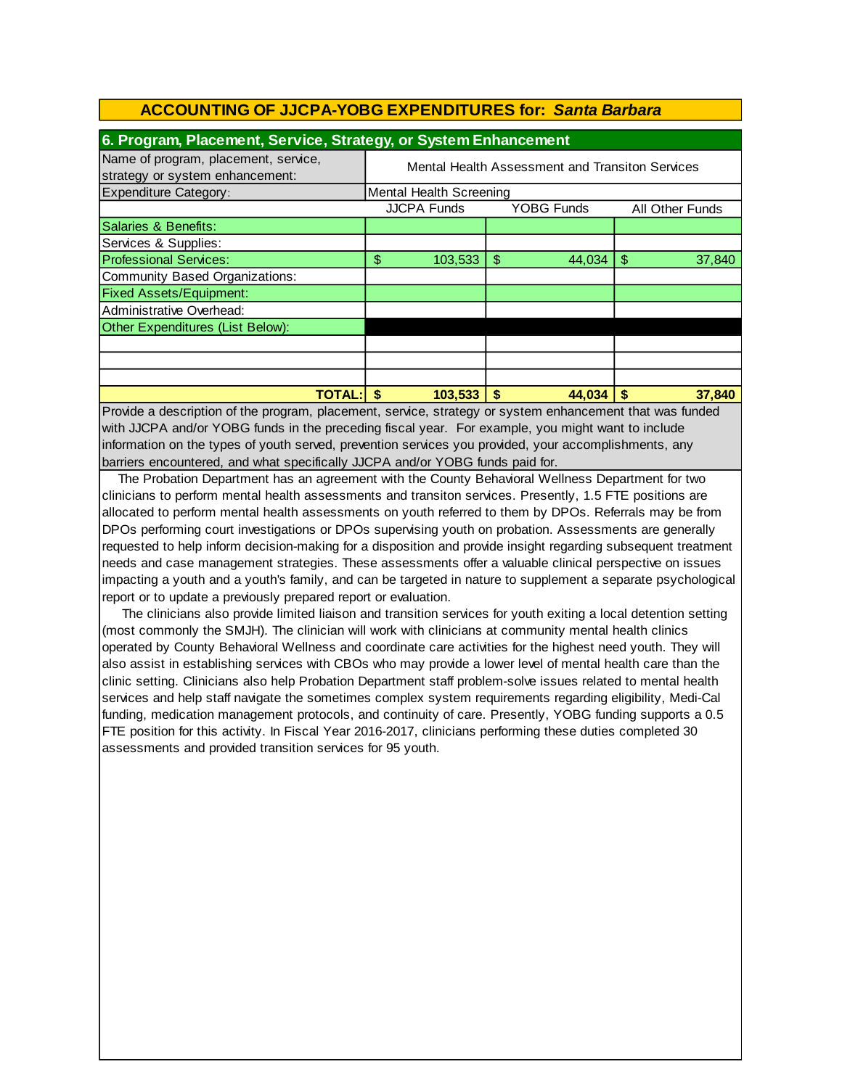| 6. Program, Placement, Service, Strategy, or System Enhancement |                                                 |                    |    |                   |    |                 |
|-----------------------------------------------------------------|-------------------------------------------------|--------------------|----|-------------------|----|-----------------|
| Name of program, placement, service,                            | Mental Health Assessment and Transiton Services |                    |    |                   |    |                 |
| strategy or system enhancement:                                 |                                                 |                    |    |                   |    |                 |
| <b>Expenditure Category:</b>                                    | Mental Health Screening                         |                    |    |                   |    |                 |
|                                                                 |                                                 | <b>JJCPA Funds</b> |    | <b>YOBG Funds</b> |    | All Other Funds |
| Salaries & Benefits:                                            |                                                 |                    |    |                   |    |                 |
| Services & Supplies:                                            |                                                 |                    |    |                   |    |                 |
| <b>Professional Services:</b>                                   | \$                                              | 103,533            | \$ | 44.034            | \$ | 37,840          |
| Community Based Organizations:                                  |                                                 |                    |    |                   |    |                 |
| <b>Fixed Assets/Equipment:</b>                                  |                                                 |                    |    |                   |    |                 |
| Administrative Overhead:                                        |                                                 |                    |    |                   |    |                 |
| Other Expenditures (List Below):                                |                                                 |                    |    |                   |    |                 |
|                                                                 |                                                 |                    |    |                   |    |                 |
|                                                                 |                                                 |                    |    |                   |    |                 |
|                                                                 |                                                 |                    |    |                   |    |                 |
| <b>TOTAL:</b>                                                   |                                                 | 103,533            | S  | 44,034            |    | 37,840          |

Provide a description of the program, placement, service, strategy or system enhancement that was funded with JJCPA and/or YOBG funds in the preceding fiscal year. For example, you might want to include information on the types of youth served, prevention services you provided, your accomplishments, any barriers encountered, and what specifically JJCPA and/or YOBG funds paid for.

 The Probation Department has an agreement with the County Behavioral Wellness Department for two clinicians to perform mental health assessments and transiton services. Presently, 1.5 FTE positions are allocated to perform mental health assessments on youth referred to them by DPOs. Referrals may be from DPOs performing court investigations or DPOs supervising youth on probation. Assessments are generally requested to help inform decision-making for a disposition and provide insight regarding subsequent treatment needs and case management strategies. These assessments offer a valuable clinical perspective on issues impacting a youth and a youth's family, and can be targeted in nature to supplement a separate psychological report or to update a previously prepared report or evaluation.

 The clinicians also provide limited liaison and transition services for youth exiting a local detention setting (most commonly the SMJH). The clinician will work with clinicians at community mental health clinics operated by County Behavioral Wellness and coordinate care activities for the highest need youth. They will also assist in establishing services with CBOs who may provide a lower level of mental health care than the clinic setting. Clinicians also help Probation Department staff problem-solve issues related to mental health services and help staff navigate the sometimes complex system requirements regarding eligibility, Medi-Cal funding, medication management protocols, and continuity of care. Presently, YOBG funding supports a 0.5 FTE position for this activity. In Fiscal Year 2016-2017, clinicians performing these duties completed 30 assessments and provided transition services for 95 youth.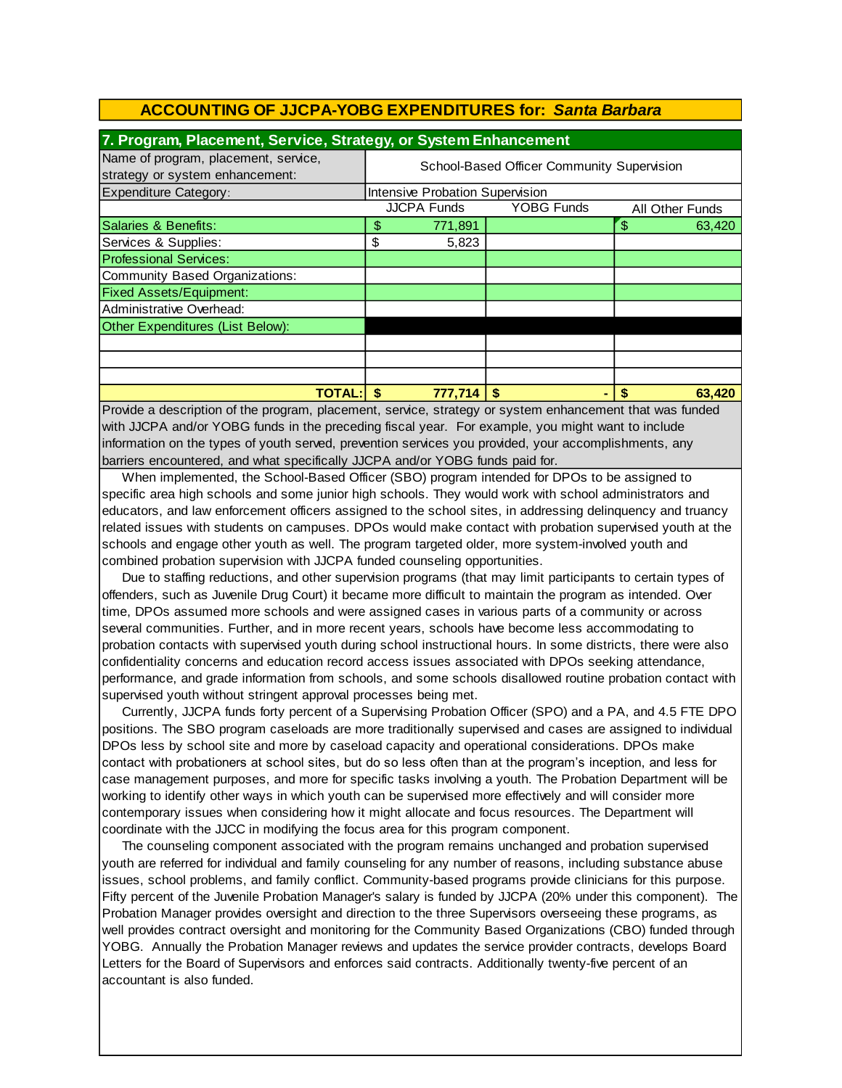| 7. Program, Placement, Service, Strategy, or System Enhancement         |                                            |                    |                   |  |                 |
|-------------------------------------------------------------------------|--------------------------------------------|--------------------|-------------------|--|-----------------|
| Name of program, placement, service,<br>strategy or system enhancement: | School-Based Officer Community Supervision |                    |                   |  |                 |
| <b>Expenditure Category:</b>                                            | Intensive Probation Supervision            |                    |                   |  |                 |
|                                                                         |                                            | <b>JJCPA Funds</b> | <b>YOBG Funds</b> |  | All Other Funds |
| Salaries & Benefits:                                                    | \$                                         | 771,891            |                   |  | 63,420          |
| Services & Supplies:                                                    | \$                                         | 5,823              |                   |  |                 |
| <b>Professional Services:</b>                                           |                                            |                    |                   |  |                 |
| Community Based Organizations:                                          |                                            |                    |                   |  |                 |
| <b>Fixed Assets/Equipment:</b>                                          |                                            |                    |                   |  |                 |
| Administrative Overhead:                                                |                                            |                    |                   |  |                 |
| Other Expenditures (List Below):                                        |                                            |                    |                   |  |                 |
|                                                                         |                                            |                    |                   |  |                 |
|                                                                         |                                            |                    |                   |  |                 |
|                                                                         |                                            |                    |                   |  |                 |
| <b>TOTAL:</b>                                                           |                                            | 777,714            | S                 |  | 63.420          |

Provide a description of the program, placement, service, strategy or system enhancement that was funded with JJCPA and/or YOBG funds in the preceding fiscal year. For example, you might want to include information on the types of youth served, prevention services you provided, your accomplishments, any barriers encountered, and what specifically JJCPA and/or YOBG funds paid for.

 When implemented, the School-Based Officer (SBO) program intended for DPOs to be assigned to specific area high schools and some junior high schools. They would work with school administrators and educators, and law enforcement officers assigned to the school sites, in addressing delinquency and truancy related issues with students on campuses. DPOs would make contact with probation supervised youth at the schools and engage other youth as well. The program targeted older, more system-involved youth and combined probation supervision with JJCPA funded counseling opportunities.

Due to staffing reductions, and other supervision programs (that may limit participants to certain types of offenders, such as Juvenile Drug Court) it became more difficult to maintain the program as intended. Over time, DPOs assumed more schools and were assigned cases in various parts of a community or across several communities. Further, and in more recent years, schools have become less accommodating to probation contacts with supervised youth during school instructional hours. In some districts, there were also confidentiality concerns and education record access issues associated with DPOs seeking attendance, performance, and grade information from schools, and some schools disallowed routine probation contact with supervised youth without stringent approval processes being met.

 Currently, JJCPA funds forty percent of a Supervising Probation Officer (SPO) and a PA, and 4.5 FTE DPO positions. The SBO program caseloads are more traditionally supervised and cases are assigned to individual DPOs less by school site and more by caseload capacity and operational considerations. DPOs make contact with probationers at school sites, but do so less often than at the program's inception, and less for case management purposes, and more for specific tasks involving a youth. The Probation Department will be working to identify other ways in which youth can be supervised more effectively and will consider more contemporary issues when considering how it might allocate and focus resources. The Department will coordinate with the JJCC in modifying the focus area for this program component.

 The counseling component associated with the program remains unchanged and probation supervised youth are referred for individual and family counseling for any number of reasons, including substance abuse issues, school problems, and family conflict. Community-based programs provide clinicians for this purpose. Fifty percent of the Juvenile Probation Manager's salary is funded by JJCPA (20% under this component). The Probation Manager provides oversight and direction to the three Supervisors overseeing these programs, as well provides contract oversight and monitoring for the Community Based Organizations (CBO) funded through YOBG. Annually the Probation Manager reviews and updates the service provider contracts, develops Board Letters for the Board of Supervisors and enforces said contracts. Additionally twenty-five percent of an accountant is also funded.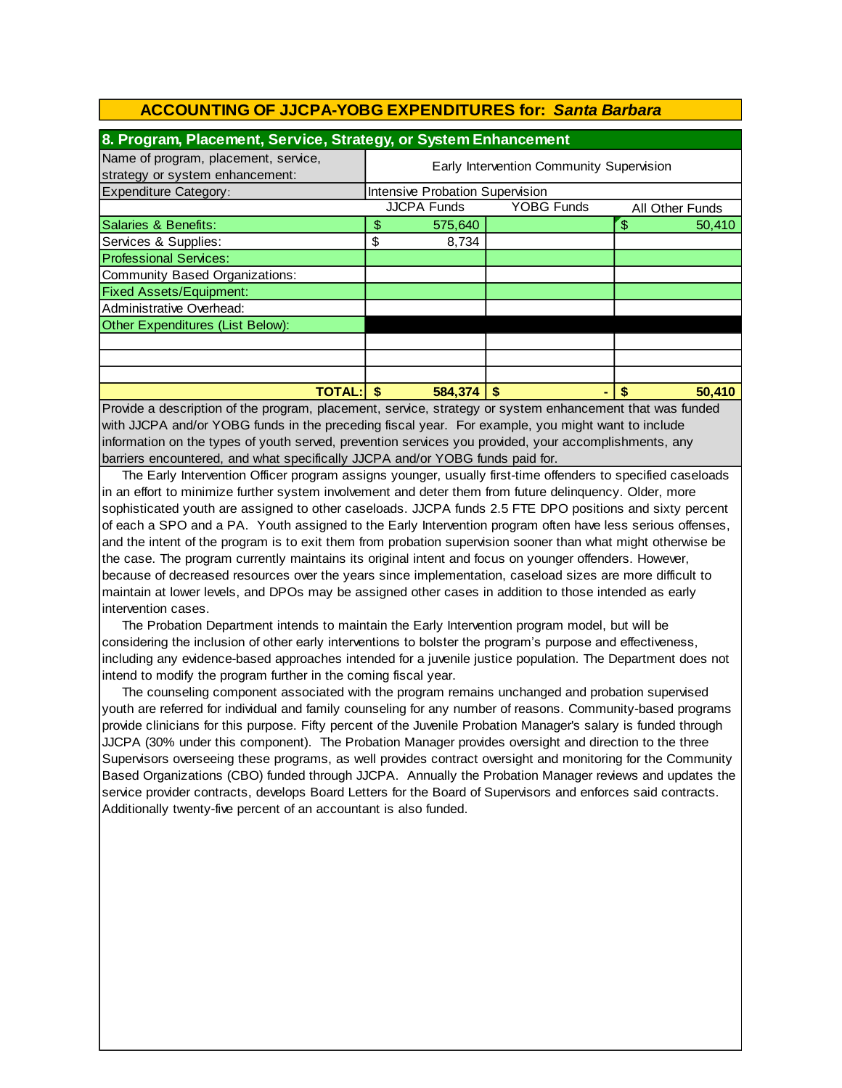| 8. Program, Placement, Service, Strategy, or System Enhancement         |                                                            |         |   |  |  |        |
|-------------------------------------------------------------------------|------------------------------------------------------------|---------|---|--|--|--------|
| Name of program, placement, service,<br>strategy or system enhancement: | Early Intervention Community Supervision                   |         |   |  |  |        |
| <b>Expenditure Category:</b>                                            | Intensive Probation Supervision                            |         |   |  |  |        |
|                                                                         | <b>JJCPA Funds</b><br><b>YOBG Funds</b><br>All Other Funds |         |   |  |  |        |
| Salaries & Benefits:                                                    | \$                                                         | 575,640 |   |  |  | 50,410 |
| Services & Supplies:                                                    | \$                                                         | 8,734   |   |  |  |        |
| <b>Professional Services:</b>                                           |                                                            |         |   |  |  |        |
| Community Based Organizations:                                          |                                                            |         |   |  |  |        |
| <b>Fixed Assets/Equipment:</b>                                          |                                                            |         |   |  |  |        |
| Administrative Overhead:                                                |                                                            |         |   |  |  |        |
| Other Expenditures (List Below):                                        |                                                            |         |   |  |  |        |
|                                                                         |                                                            |         |   |  |  |        |
|                                                                         |                                                            |         |   |  |  |        |
|                                                                         |                                                            |         |   |  |  |        |
| <b>TOTAL:</b>                                                           | S                                                          | 584.374 | S |  |  | 50,410 |

Provide a description of the program, placement, service, strategy or system enhancement that was funded with JJCPA and/or YOBG funds in the preceding fiscal year. For example, you might want to include information on the types of youth served, prevention services you provided, your accomplishments, any barriers encountered, and what specifically JJCPA and/or YOBG funds paid for.

 The Early Intervention Officer program assigns younger, usually first-time offenders to specified caseloads in an effort to minimize further system involvement and deter them from future delinquency. Older, more sophisticated youth are assigned to other caseloads. JJCPA funds 2.5 FTE DPO positions and sixty percent of each a SPO and a PA. Youth assigned to the Early Intervention program often have less serious offenses, and the intent of the program is to exit them from probation supervision sooner than what might otherwise be the case. The program currently maintains its original intent and focus on younger offenders. However, because of decreased resources over the years since implementation, caseload sizes are more difficult to maintain at lower levels, and DPOs may be assigned other cases in addition to those intended as early intervention cases.

 The Probation Department intends to maintain the Early Intervention program model, but will be considering the inclusion of other early interventions to bolster the program's purpose and effectiveness, including any evidence-based approaches intended for a juvenile justice population. The Department does not intend to modify the program further in the coming fiscal year.

 The counseling component associated with the program remains unchanged and probation supervised youth are referred for individual and family counseling for any number of reasons. Community-based programs provide clinicians for this purpose. Fifty percent of the Juvenile Probation Manager's salary is funded through JJCPA (30% under this component). The Probation Manager provides oversight and direction to the three Supervisors overseeing these programs, as well provides contract oversight and monitoring for the Community Based Organizations (CBO) funded through JJCPA. Annually the Probation Manager reviews and updates the service provider contracts, develops Board Letters for the Board of Supervisors and enforces said contracts. Additionally twenty-five percent of an accountant is also funded.